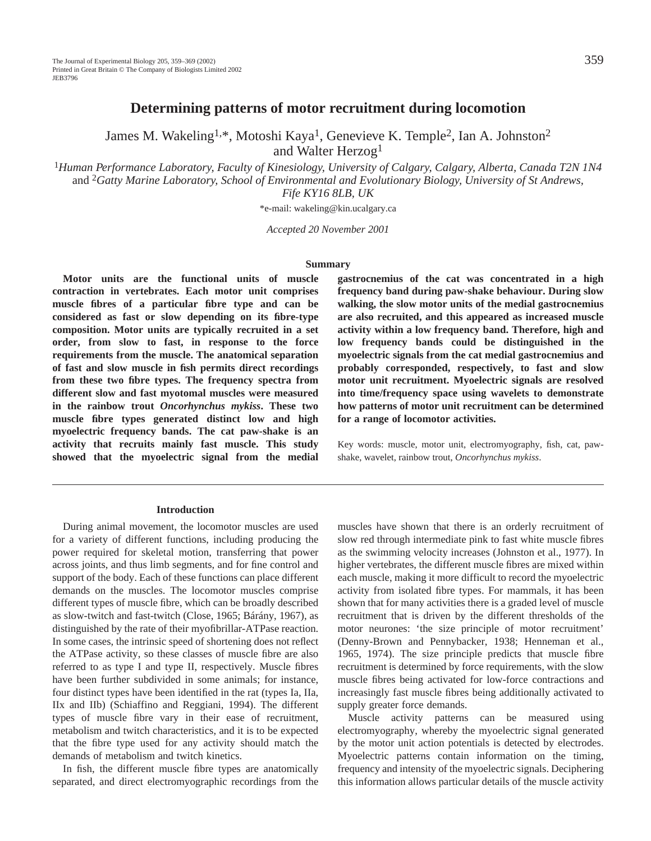# **Determining patterns of motor recruitment during locomotion**

James M. Wakeling<sup>1,\*</sup>, Motoshi Kaya<sup>1</sup>, Genevieve K. Temple<sup>2</sup>, Ian A. Johnston<sup>2</sup> and Walter Herzog1

<sup>1</sup>*Human Performance Laboratory, Faculty of Kinesiology, University of Calgary, Calgary, Alberta, Canada T2N 1N4* and 2*Gatty Marine Laboratory, School of Environmental and Evolutionary Biology, University of St Andrews, Fife KY16 8LB, UK*

\*e-mail: wakeling@kin.ucalgary.ca

*Accepted 20 November 2001*

#### **Summary**

**Motor units are the functional units of muscle contraction in vertebrates. Each motor unit comprises muscle fibres of a particular fibre type and can be considered as fast or slow depending on its fibre-type composition. Motor units are typically recruited in a set order, from slow to fast, in response to the force requirements from the muscle. The anatomical separation of fast and slow muscle in fish permits direct recordings from these two fibre types. The frequency spectra from different slow and fast myotomal muscles were measured in the rainbow trout** *Oncorhynchus mykiss***. These two muscle fibre types generated distinct low and high myoelectric frequency bands. The cat paw-shake is an activity that recruits mainly fast muscle. This study showed that the myoelectric signal from the medial**

# **gastrocnemius of the cat was concentrated in a high frequency band during paw-shake behaviour. During slow walking, the slow motor units of the medial gastrocnemius are also recruited, and this appeared as increased muscle activity within a low frequency band. Therefore, high and low frequency bands could be distinguished in the myoelectric signals from the cat medial gastrocnemius and probably corresponded, respectively, to fast and slow motor unit recruitment. Myoelectric signals are resolved into time/frequency space using wavelets to demonstrate how patterns of motor unit recruitment can be determined for a range of locomotor activities.**

Key words: muscle, motor unit, electromyography, fish, cat, pawshake, wavelet, rainbow trout, *Oncorhynchus mykiss*.

#### **Introduction**

During animal movement, the locomotor muscles are used for a variety of different functions, including producing the power required for skeletal motion, transferring that power across joints, and thus limb segments, and for fine control and support of the body. Each of these functions can place different demands on the muscles. The locomotor muscles comprise different types of muscle fibre, which can be broadly described as slow-twitch and fast-twitch (Close, 1965; Bárány, 1967), as distinguished by the rate of their myofibrillar-ATPase reaction. In some cases, the intrinsic speed of shortening does not reflect the ATPase activity, so these classes of muscle fibre are also referred to as type I and type II, respectively. Muscle fibres have been further subdivided in some animals; for instance, four distinct types have been identified in the rat (types Ia, IIa, IIx and IIb) (Schiaffino and Reggiani, 1994). The different types of muscle fibre vary in their ease of recruitment, metabolism and twitch characteristics, and it is to be expected that the fibre type used for any activity should match the demands of metabolism and twitch kinetics.

In fish, the different muscle fibre types are anatomically separated, and direct electromyographic recordings from the

muscles have shown that there is an orderly recruitment of slow red through intermediate pink to fast white muscle fibres as the swimming velocity increases (Johnston et al., 1977). In higher vertebrates, the different muscle fibres are mixed within each muscle, making it more difficult to record the myoelectric activity from isolated fibre types. For mammals, it has been shown that for many activities there is a graded level of muscle recruitment that is driven by the different thresholds of the motor neurones: 'the size principle of motor recruitment' (Denny-Brown and Pennybacker, 1938; Henneman et al., 1965, 1974). The size principle predicts that muscle fibre recruitment is determined by force requirements, with the slow muscle fibres being activated for low-force contractions and increasingly fast muscle fibres being additionally activated to supply greater force demands.

Muscle activity patterns can be measured using electromyography, whereby the myoelectric signal generated by the motor unit action potentials is detected by electrodes. Myoelectric patterns contain information on the timing, frequency and intensity of the myoelectric signals. Deciphering this information allows particular details of the muscle activity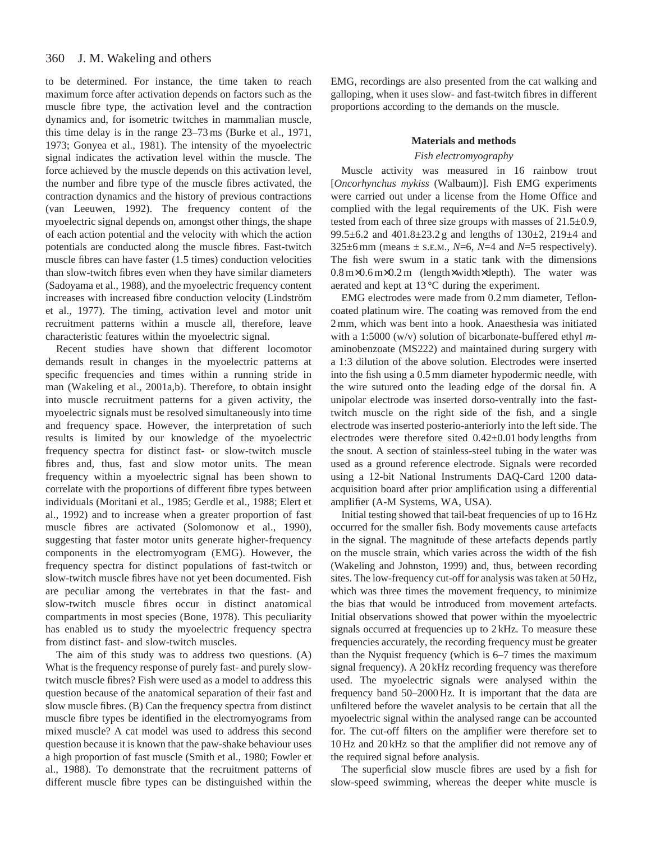#### 360 J. M. Wakeling and others

to be determined. For instance, the time taken to reach maximum force after activation depends on factors such as the muscle fibre type, the activation level and the contraction dynamics and, for isometric twitches in mammalian muscle, this time delay is in the range 23–73 ms (Burke et al., 1971, 1973; Gonyea et al., 1981). The intensity of the myoelectric signal indicates the activation level within the muscle. The force achieved by the muscle depends on this activation level, the number and fibre type of the muscle fibres activated, the contraction dynamics and the history of previous contractions (van Leeuwen, 1992). The frequency content of the myoelectric signal depends on, amongst other things, the shape of each action potential and the velocity with which the action potentials are conducted along the muscle fibres. Fast-twitch muscle fibres can have faster (1.5 times) conduction velocities than slow-twitch fibres even when they have similar diameters (Sadoyama et al., 1988), and the myoelectric frequency content increases with increased fibre conduction velocity (Lindström et al., 1977). The timing, activation level and motor unit recruitment patterns within a muscle all, therefore, leave characteristic features within the myoelectric signal.

Recent studies have shown that different locomotor demands result in changes in the myoelectric patterns at specific frequencies and times within a running stride in man (Wakeling et al., 2001a,b). Therefore, to obtain insight into muscle recruitment patterns for a given activity, the myoelectric signals must be resolved simultaneously into time and frequency space. However, the interpretation of such results is limited by our knowledge of the myoelectric frequency spectra for distinct fast- or slow-twitch muscle fibres and, thus, fast and slow motor units. The mean frequency within a myoelectric signal has been shown to correlate with the proportions of different fibre types between individuals (Moritani et al., 1985; Gerdle et al., 1988; Elert et al., 1992) and to increase when a greater proportion of fast muscle fibres are activated (Solomonow et al., 1990), suggesting that faster motor units generate higher-frequency components in the electromyogram (EMG). However, the frequency spectra for distinct populations of fast-twitch or slow-twitch muscle fibres have not yet been documented. Fish are peculiar among the vertebrates in that the fast- and slow-twitch muscle fibres occur in distinct anatomical compartments in most species (Bone, 1978). This peculiarity has enabled us to study the myoelectric frequency spectra from distinct fast- and slow-twitch muscles.

The aim of this study was to address two questions. (A) What is the frequency response of purely fast- and purely slowtwitch muscle fibres? Fish were used as a model to address this question because of the anatomical separation of their fast and slow muscle fibres. (B) Can the frequency spectra from distinct muscle fibre types be identified in the electromyograms from mixed muscle? A cat model was used to address this second question because it is known that the paw-shake behaviour uses a high proportion of fast muscle (Smith et al., 1980; Fowler et al., 1988). To demonstrate that the recruitment patterns of different muscle fibre types can be distinguished within the EMG, recordings are also presented from the cat walking and galloping, when it uses slow- and fast-twitch fibres in different proportions according to the demands on the muscle.

## **Materials and methods**

## *Fish electromyography*

Muscle activity was measured in 16 rainbow trout [*Oncorhynchus mykiss* (Walbaum)]. Fish EMG experiments were carried out under a license from the Home Office and complied with the legal requirements of the UK. Fish were tested from each of three size groups with masses of 21.5±0.9, 99.5±6.2 and 401.8±23.2 g and lengths of 130±2, 219±4 and 325 $\pm$ 6 mm (means  $\pm$  s.e.m., *N*=6, *N*=4 and *N*=5 respectively). The fish were swum in a static tank with the dimensions 0.8 m×0.6 m×0.2 m (length×width×depth). The water was aerated and kept at 13 °C during the experiment.

EMG electrodes were made from 0.2 mm diameter, Tefloncoated platinum wire. The coating was removed from the end 2 mm, which was bent into a hook. Anaesthesia was initiated with a 1:5000 (w/v) solution of bicarbonate-buffered ethyl *m*aminobenzoate (MS222) and maintained during surgery with a 1:3 dilution of the above solution. Electrodes were inserted into the fish using a 0.5 mm diameter hypodermic needle, with the wire sutured onto the leading edge of the dorsal fin. A unipolar electrode was inserted dorso-ventrally into the fasttwitch muscle on the right side of the fish, and a single electrode was inserted posterio-anteriorly into the left side. The electrodes were therefore sited 0.42±0.01 body lengths from the snout. A section of stainless-steel tubing in the water was used as a ground reference electrode. Signals were recorded using a 12-bit National Instruments DAQ-Card 1200 dataacquisition board after prior amplification using a differential amplifier (A-M Systems, WA, USA).

Initial testing showed that tail-beat frequencies of up to 16 Hz occurred for the smaller fish. Body movements cause artefacts in the signal. The magnitude of these artefacts depends partly on the muscle strain, which varies across the width of the fish (Wakeling and Johnston, 1999) and, thus, between recording sites. The low-frequency cut-off for analysis was taken at 50 Hz, which was three times the movement frequency, to minimize the bias that would be introduced from movement artefacts. Initial observations showed that power within the myoelectric signals occurred at frequencies up to 2 kHz. To measure these frequencies accurately, the recording frequency must be greater than the Nyquist frequency (which is 6–7 times the maximum signal frequency). A 20 kHz recording frequency was therefore used. The myoelectric signals were analysed within the frequency band 50–2000 Hz. It is important that the data are unfiltered before the wavelet analysis to be certain that all the myoelectric signal within the analysed range can be accounted for. The cut-off filters on the amplifier were therefore set to 10 Hz and 20 kHz so that the amplifier did not remove any of the required signal before analysis.

The superficial slow muscle fibres are used by a fish for slow-speed swimming, whereas the deeper white muscle is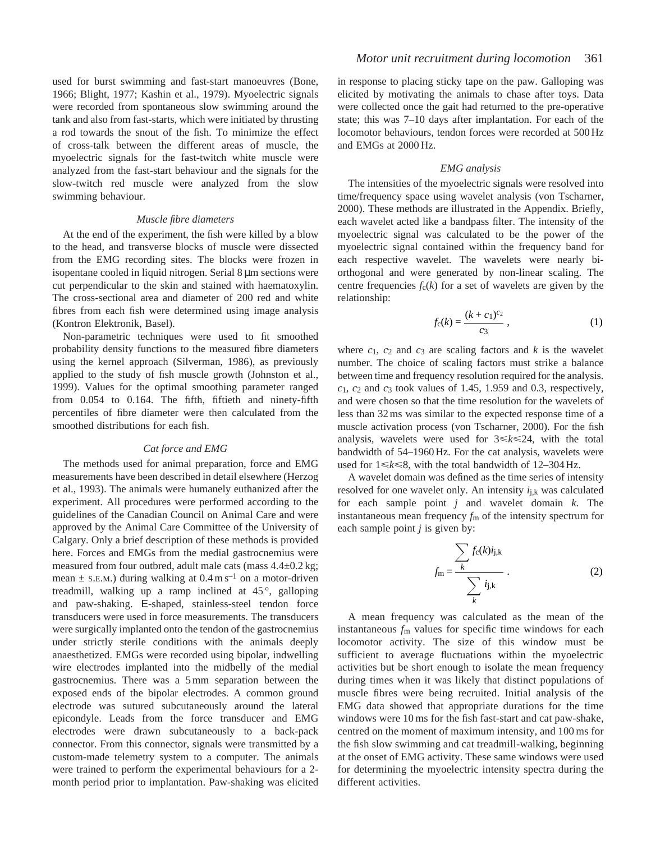used for burst swimming and fast-start manoeuvres (Bone, 1966; Blight, 1977; Kashin et al., 1979). Myoelectric signals were recorded from spontaneous slow swimming around the tank and also from fast-starts, which were initiated by thrusting a rod towards the snout of the fish. To minimize the effect of cross-talk between the different areas of muscle, the myoelectric signals for the fast-twitch white muscle were analyzed from the fast-start behaviour and the signals for the slow-twitch red muscle were analyzed from the slow swimming behaviour.

#### *Muscle fibre diameters*

At the end of the experiment, the fish were killed by a blow to the head, and transverse blocks of muscle were dissected from the EMG recording sites. The blocks were frozen in isopentane cooled in liquid nitrogen. Serial 8 µm sections were cut perpendicular to the skin and stained with haematoxylin. The cross-sectional area and diameter of 200 red and white fibres from each fish were determined using image analysis (Kontron Elektronik, Basel).

Non-parametric techniques were used to fit smoothed probability density functions to the measured fibre diameters using the kernel approach (Silverman, 1986), as previously applied to the study of fish muscle growth (Johnston et al., 1999). Values for the optimal smoothing parameter ranged from 0.054 to 0.164. The fifth, fiftieth and ninety-fifth percentiles of fibre diameter were then calculated from the smoothed distributions for each fish.

## *Cat force and EMG*

The methods used for animal preparation, force and EMG measurements have been described in detail elsewhere (Herzog et al., 1993). The animals were humanely euthanized after the experiment. All procedures were performed according to the guidelines of the Canadian Council on Animal Care and were approved by the Animal Care Committee of the University of Calgary. Only a brief description of these methods is provided here. Forces and EMGs from the medial gastrocnemius were measured from four outbred, adult male cats (mass 4.4±0.2 kg; mean  $\pm$  s.E.M.) during walking at 0.4 m s<sup>-1</sup> on a motor-driven treadmill, walking up a ramp inclined at  $45^\circ$ , galloping and paw-shaking. E-shaped, stainless-steel tendon force transducers were used in force measurements. The transducers were surgically implanted onto the tendon of the gastrocnemius under strictly sterile conditions with the animals deeply anaesthetized. EMGs were recorded using bipolar, indwelling wire electrodes implanted into the midbelly of the medial gastrocnemius. There was a 5 mm separation between the exposed ends of the bipolar electrodes. A common ground electrode was sutured subcutaneously around the lateral epicondyle. Leads from the force transducer and EMG electrodes were drawn subcutaneously to a back-pack connector. From this connector, signals were transmitted by a custom-made telemetry system to a computer. The animals were trained to perform the experimental behaviours for a 2 month period prior to implantation. Paw-shaking was elicited

in response to placing sticky tape on the paw. Galloping was elicited by motivating the animals to chase after toys. Data were collected once the gait had returned to the pre-operative state; this was 7–10 days after implantation. For each of the locomotor behaviours, tendon forces were recorded at 500 Hz and EMGs at 2000 Hz.

### *EMG analysis*

The intensities of the myoelectric signals were resolved into time/frequency space using wavelet analysis (von Tscharner, 2000). These methods are illustrated in the Appendix. Briefly, each wavelet acted like a bandpass filter. The intensity of the myoelectric signal was calculated to be the power of the myoelectric signal contained within the frequency band for each respective wavelet. The wavelets were nearly biorthogonal and were generated by non-linear scaling. The centre frequencies  $f_c(k)$  for a set of wavelets are given by the relationship:

$$
f_{c}(k) = \frac{(k+c_1)^{c_2}}{c_3},
$$
 (1)

where  $c_1$ ,  $c_2$  and  $c_3$  are scaling factors and  $k$  is the wavelet number. The choice of scaling factors must strike a balance between time and frequency resolution required for the analysis. *c*1, *c*2 and *c*3 took values of 1.45, 1.959 and 0.3, respectively, and were chosen so that the time resolution for the wavelets of less than 32 ms was similar to the expected response time of a muscle activation process (von Tscharner, 2000). For the fish analysis, wavelets were used for  $3 \le k \le 24$ , with the total bandwidth of 54–1960 Hz. For the cat analysis, wavelets were used for  $1 \le k \le 8$ , with the total bandwidth of  $12-304$  Hz.

A wavelet domain was defined as the time series of intensity resolved for one wavelet only. An intensity  $i_{i,k}$  was calculated for each sample point *j* and wavelet domain *k*. The instantaneous mean frequency *f*m of the intensity spectrum for each sample point *j* is given by:

$$
f_{\rm m} = \frac{\sum_{k} f_{\rm c}(k)i_{\rm j,k}}{\sum_{k} i_{\rm j,k}} \,. \tag{2}
$$

A mean frequency was calculated as the mean of the instantaneous *f*m values for specific time windows for each locomotor activity. The size of this window must be sufficient to average fluctuations within the myoelectric activities but be short enough to isolate the mean frequency during times when it was likely that distinct populations of muscle fibres were being recruited. Initial analysis of the EMG data showed that appropriate durations for the time windows were 10 ms for the fish fast-start and cat paw-shake, centred on the moment of maximum intensity, and 100 ms for the fish slow swimming and cat treadmill-walking, beginning at the onset of EMG activity. These same windows were used for determining the myoelectric intensity spectra during the different activities.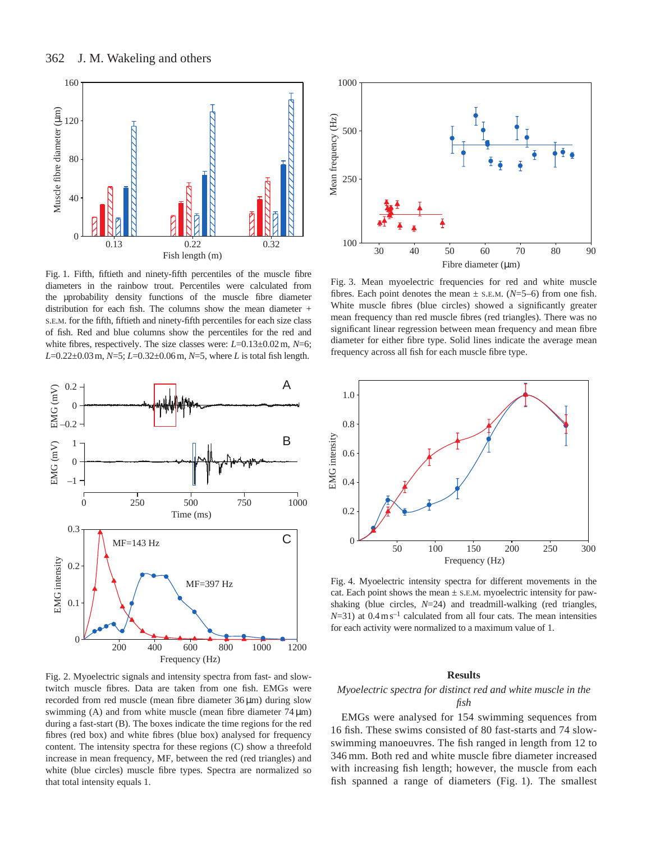

Fig. 1. Fifth, fiftieth and ninety-fifth percentiles of the muscle fibre diameters in the rainbow trout. Percentiles were calculated from the µprobability density functions of the muscle fibre diameter distribution for each fish. The columns show the mean diameter + S.E.M. for the fifth, fiftieth and ninety-fifth percentiles for each size class of fish. Red and blue columns show the percentiles for the red and white fibres, respectively. The size classes were: *L*=0.13±0.02m, *N*=6; *L*=0.22±0.03m, *N*=5; *L*=0.32±0.06m, *N*=5, where *L* is total fish length.



Fig. 2. Myoelectric signals and intensity spectra from fast- and slowtwitch muscle fibres. Data are taken from one fish. EMGs were recorded from red muscle (mean fibre diameter 36 µm) during slow swimming (A) and from white muscle (mean fibre diameter  $74 \mu m$ ) during a fast-start (B). The boxes indicate the time regions for the red fibres (red box) and white fibres (blue box) analysed for frequency content. The intensity spectra for these regions (C) show a threefold increase in mean frequency, MF, between the red (red triangles) and white (blue circles) muscle fibre types. Spectra are normalized so that total intensity equals 1.



Fig. 3. Mean myoelectric frequencies for red and white muscle fibres. Each point denotes the mean  $\pm$  s.e.m. (*N*=5–6) from one fish. White muscle fibres (blue circles) showed a significantly greater mean frequency than red muscle fibres (red triangles). There was no significant linear regression between mean frequency and mean fibre diameter for either fibre type. Solid lines indicate the average mean frequency across all fish for each muscle fibre type.



Fig. 4. Myoelectric intensity spectra for different movements in the cat. Each point shows the mean  $\pm$  s.e.m. myoelectric intensity for pawshaking (blue circles, *N*=24) and treadmill-walking (red triangles,  $N=31$ ) at  $0.4 \text{ m s}^{-1}$  calculated from all four cats. The mean intensities for each activity were normalized to a maximum value of 1.

#### **Results**

## *Myoelectric spectra for distinct red and white muscle in the fish*

EMGs were analysed for 154 swimming sequences from 16 fish. These swims consisted of 80 fast-starts and 74 slowswimming manoeuvres. The fish ranged in length from 12 to 346 mm. Both red and white muscle fibre diameter increased with increasing fish length; however, the muscle from each fish spanned a range of diameters (Fig. 1). The smallest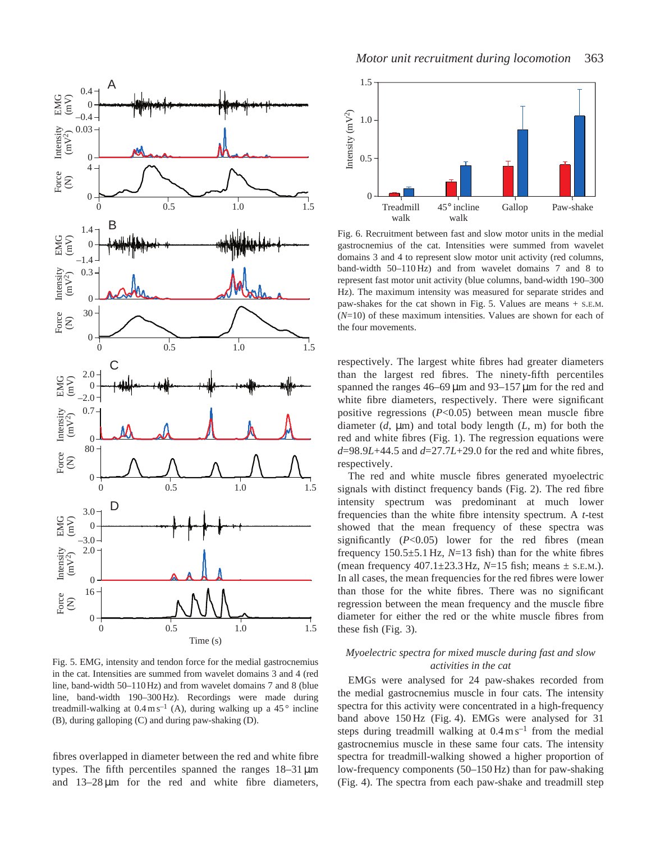

Fig. 5. EMG, intensity and tendon force for the medial gastrocnemius in the cat. Intensities are summed from wavelet domains 3 and 4 (red line, band-width 50–110 Hz) and from wavelet domains 7 and 8 (blue line, band-width 190–300 Hz). Recordings were made during treadmill-walking at  $0.4 \text{ m s}^{-1}$  (A), during walking up a 45 $\degree$  incline (B), during galloping (C) and during paw-shaking (D).

fibres overlapped in diameter between the red and white fibre types. The fifth percentiles spanned the ranges 18–31 µm and  $13-28 \mu m$  for the red and white fibre diameters,



Fig. 6. Recruitment between fast and slow motor units in the medial gastrocnemius of the cat. Intensities were summed from wavelet domains 3 and 4 to represent slow motor unit activity (red columns, band-width 50–110 Hz) and from wavelet domains 7 and 8 to represent fast motor unit activity (blue columns, band-width 190–300 Hz). The maximum intensity was measured for separate strides and paw-shakes for the cat shown in Fig. 5. Values are means + S.E.M. (*N*=10) of these maximum intensities. Values are shown for each of the four movements.

respectively. The largest white fibres had greater diameters than the largest red fibres. The ninety-fifth percentiles spanned the ranges 46–69 µm and 93–157 µm for the red and white fibre diameters, respectively. There were significant positive regressions (*P*<0.05) between mean muscle fibre diameter  $(d, \mu)$  and total body length  $(L, m)$  for both the red and white fibres (Fig. 1). The regression equations were *d*=98.9*L*+44.5 and *d*=27.7*L*+29.0 for the red and white fibres, respectively.

The red and white muscle fibres generated myoelectric signals with distinct frequency bands (Fig. 2). The red fibre intensity spectrum was predominant at much lower frequencies than the white fibre intensity spectrum. A *t*-test showed that the mean frequency of these spectra was significantly (*P*<0.05) lower for the red fibres (mean frequency 150.5±5.1 Hz, *N*=13 fish) than for the white fibres (mean frequency 407.1±23.3 Hz, *N*=15 fish; means ± S.E.M.). In all cases, the mean frequencies for the red fibres were lower than those for the white fibres. There was no significant regression between the mean frequency and the muscle fibre diameter for either the red or the white muscle fibres from these fish (Fig. 3).

## *Myoelectric spectra for mixed muscle during fast and slow activities in the cat*

EMGs were analysed for 24 paw-shakes recorded from the medial gastrocnemius muscle in four cats. The intensity spectra for this activity were concentrated in a high-frequency band above 150 Hz (Fig. 4). EMGs were analysed for 31 steps during treadmill walking at  $0.4 \text{ m s}^{-1}$  from the medial gastrocnemius muscle in these same four cats. The intensity spectra for treadmill-walking showed a higher proportion of low-frequency components (50–150 Hz) than for paw-shaking (Fig. 4). The spectra from each paw-shake and treadmill step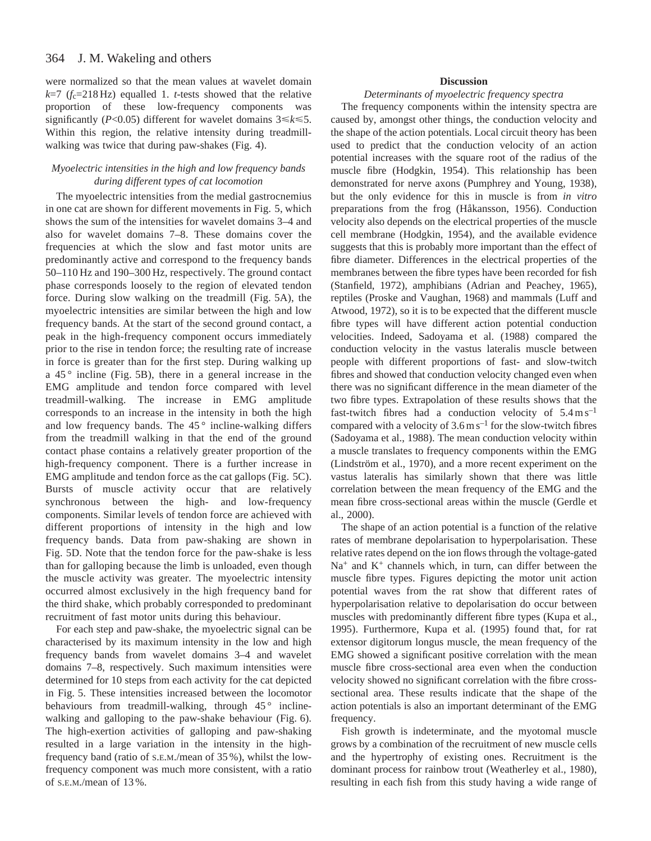#### 364 J. M. Wakeling and others

were normalized so that the mean values at wavelet domain  $k=7$  ( $f_c=218$  Hz) equalled 1. *t*-tests showed that the relative proportion of these low-frequency components was significantly ( $P<0.05$ ) different for wavelet domains  $3 \le k \le 5$ . Within this region, the relative intensity during treadmillwalking was twice that during paw-shakes (Fig. 4).

## *Myoelectric intensities in the high and low frequency bands during different types of cat locomotion*

The myoelectric intensities from the medial gastrocnemius in one cat are shown for different movements in Fig. 5, which shows the sum of the intensities for wavelet domains 3–4 and also for wavelet domains 7–8. These domains cover the frequencies at which the slow and fast motor units are predominantly active and correspond to the frequency bands 50–110 Hz and 190–300 Hz, respectively. The ground contact phase corresponds loosely to the region of elevated tendon force. During slow walking on the treadmill (Fig. 5A), the myoelectric intensities are similar between the high and low frequency bands. At the start of the second ground contact, a peak in the high-frequency component occurs immediately prior to the rise in tendon force; the resulting rate of increase in force is greater than for the first step. During walking up a  $45^\circ$  incline (Fig. 5B), there in a general increase in the EMG amplitude and tendon force compared with level treadmill-walking. The increase in EMG amplitude corresponds to an increase in the intensity in both the high and low frequency bands. The  $45^{\circ}$  incline-walking differs from the treadmill walking in that the end of the ground contact phase contains a relatively greater proportion of the high-frequency component. There is a further increase in EMG amplitude and tendon force as the cat gallops (Fig. 5C). Bursts of muscle activity occur that are relatively synchronous between the high- and low-frequency components. Similar levels of tendon force are achieved with different proportions of intensity in the high and low frequency bands. Data from paw-shaking are shown in Fig. 5D. Note that the tendon force for the paw-shake is less than for galloping because the limb is unloaded, even though the muscle activity was greater. The myoelectric intensity occurred almost exclusively in the high frequency band for the third shake, which probably corresponded to predominant recruitment of fast motor units during this behaviour.

For each step and paw-shake, the myoelectric signal can be characterised by its maximum intensity in the low and high frequency bands from wavelet domains 3–4 and wavelet domains 7–8, respectively. Such maximum intensities were determined for 10 steps from each activity for the cat depicted in Fig. 5. These intensities increased between the locomotor behaviours from treadmill-walking, through  $45^{\circ}$  inclinewalking and galloping to the paw-shake behaviour (Fig. 6). The high-exertion activities of galloping and paw-shaking resulted in a large variation in the intensity in the highfrequency band (ratio of S.E.M./mean of 35 %), whilst the lowfrequency component was much more consistent, with a ratio of S.E.M./mean of 13 %.

## **Discussion**

## *Determinants of myoelectric frequency spectra*

The frequency components within the intensity spectra are caused by, amongst other things, the conduction velocity and the shape of the action potentials. Local circuit theory has been used to predict that the conduction velocity of an action potential increases with the square root of the radius of the muscle fibre (Hodgkin, 1954). This relationship has been demonstrated for nerve axons (Pumphrey and Young, 1938), but the only evidence for this in muscle is from *in vitro* preparations from the frog (Håkansson, 1956). Conduction velocity also depends on the electrical properties of the muscle cell membrane (Hodgkin, 1954), and the available evidence suggests that this is probably more important than the effect of fibre diameter. Differences in the electrical properties of the membranes between the fibre types have been recorded for fish (Stanfield, 1972), amphibians (Adrian and Peachey, 1965), reptiles (Proske and Vaughan, 1968) and mammals (Luff and Atwood, 1972), so it is to be expected that the different muscle fibre types will have different action potential conduction velocities. Indeed, Sadoyama et al. (1988) compared the conduction velocity in the vastus lateralis muscle between people with different proportions of fast- and slow-twitch fibres and showed that conduction velocity changed even when there was no significant difference in the mean diameter of the two fibre types. Extrapolation of these results shows that the fast-twitch fibres had a conduction velocity of  $5.4 \text{ m s}^{-1}$ compared with a velocity of  $3.6 \text{ m s}^{-1}$  for the slow-twitch fibres (Sadoyama et al., 1988). The mean conduction velocity within a muscle translates to frequency components within the EMG (Lindström et al., 1970), and a more recent experiment on the vastus lateralis has similarly shown that there was little correlation between the mean frequency of the EMG and the mean fibre cross-sectional areas within the muscle (Gerdle et al., 2000).

The shape of an action potential is a function of the relative rates of membrane depolarisation to hyperpolarisation. These relative rates depend on the ion flows through the voltage-gated  $Na<sup>+</sup>$  and  $K<sup>+</sup>$  channels which, in turn, can differ between the muscle fibre types. Figures depicting the motor unit action potential waves from the rat show that different rates of hyperpolarisation relative to depolarisation do occur between muscles with predominantly different fibre types (Kupa et al., 1995). Furthermore, Kupa et al. (1995) found that, for rat extensor digitorum longus muscle, the mean frequency of the EMG showed a significant positive correlation with the mean muscle fibre cross-sectional area even when the conduction velocity showed no significant correlation with the fibre crosssectional area. These results indicate that the shape of the action potentials is also an important determinant of the EMG frequency.

Fish growth is indeterminate, and the myotomal muscle grows by a combination of the recruitment of new muscle cells and the hypertrophy of existing ones. Recruitment is the dominant process for rainbow trout (Weatherley et al., 1980), resulting in each fish from this study having a wide range of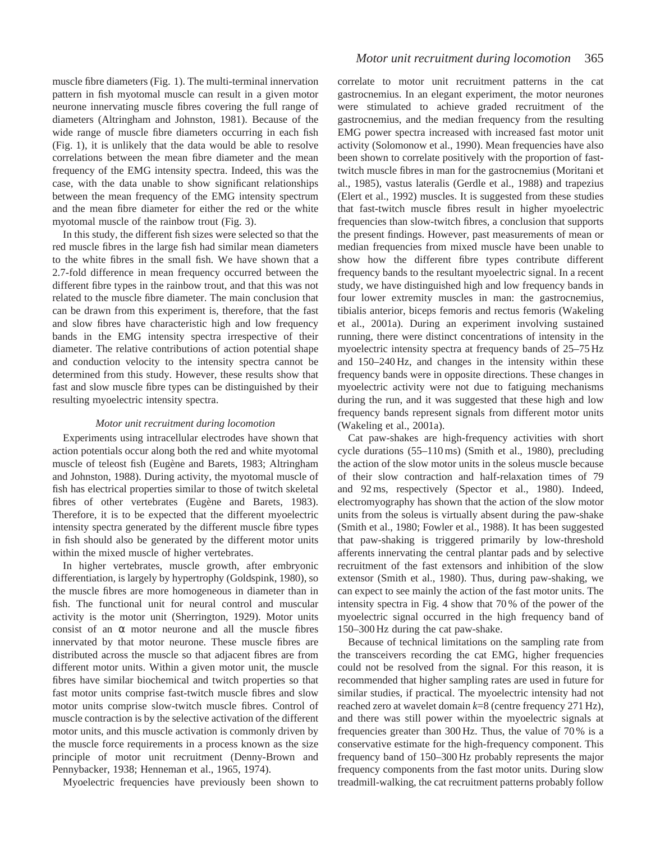muscle fibre diameters (Fig. 1). The multi-terminal innervation pattern in fish myotomal muscle can result in a given motor neurone innervating muscle fibres covering the full range of diameters (Altringham and Johnston, 1981). Because of the wide range of muscle fibre diameters occurring in each fish (Fig. 1), it is unlikely that the data would be able to resolve correlations between the mean fibre diameter and the mean frequency of the EMG intensity spectra. Indeed, this was the case, with the data unable to show significant relationships between the mean frequency of the EMG intensity spectrum and the mean fibre diameter for either the red or the white myotomal muscle of the rainbow trout (Fig. 3).

In this study, the different fish sizes were selected so that the red muscle fibres in the large fish had similar mean diameters to the white fibres in the small fish. We have shown that a 2.7-fold difference in mean frequency occurred between the different fibre types in the rainbow trout, and that this was not related to the muscle fibre diameter. The main conclusion that can be drawn from this experiment is, therefore, that the fast and slow fibres have characteristic high and low frequency bands in the EMG intensity spectra irrespective of their diameter. The relative contributions of action potential shape and conduction velocity to the intensity spectra cannot be determined from this study. However, these results show that fast and slow muscle fibre types can be distinguished by their resulting myoelectric intensity spectra.

## *Motor unit recruitment during locomotion*

Experiments using intracellular electrodes have shown that action potentials occur along both the red and white myotomal muscle of teleost fish (Eugène and Barets, 1983; Altringham and Johnston, 1988). During activity, the myotomal muscle of fish has electrical properties similar to those of twitch skeletal fibres of other vertebrates (Eugène and Barets, 1983). Therefore, it is to be expected that the different myoelectric intensity spectra generated by the different muscle fibre types in fish should also be generated by the different motor units within the mixed muscle of higher vertebrates.

In higher vertebrates, muscle growth, after embryonic differentiation, is largely by hypertrophy (Goldspink, 1980), so the muscle fibres are more homogeneous in diameter than in fish. The functional unit for neural control and muscular activity is the motor unit (Sherrington, 1929). Motor units consist of an  $\alpha$  motor neurone and all the muscle fibres innervated by that motor neurone. These muscle fibres are distributed across the muscle so that adjacent fibres are from different motor units. Within a given motor unit, the muscle fibres have similar biochemical and twitch properties so that fast motor units comprise fast-twitch muscle fibres and slow motor units comprise slow-twitch muscle fibres. Control of muscle contraction is by the selective activation of the different motor units, and this muscle activation is commonly driven by the muscle force requirements in a process known as the size principle of motor unit recruitment (Denny-Brown and Pennybacker, 1938; Henneman et al., 1965, 1974).

Myoelectric frequencies have previously been shown to

correlate to motor unit recruitment patterns in the cat gastrocnemius. In an elegant experiment, the motor neurones were stimulated to achieve graded recruitment of the gastrocnemius, and the median frequency from the resulting EMG power spectra increased with increased fast motor unit activity (Solomonow et al., 1990). Mean frequencies have also been shown to correlate positively with the proportion of fasttwitch muscle fibres in man for the gastrocnemius (Moritani et al., 1985), vastus lateralis (Gerdle et al., 1988) and trapezius (Elert et al., 1992) muscles. It is suggested from these studies that fast-twitch muscle fibres result in higher myoelectric frequencies than slow-twitch fibres, a conclusion that supports the present findings. However, past measurements of mean or median frequencies from mixed muscle have been unable to show how the different fibre types contribute different frequency bands to the resultant myoelectric signal. In a recent study, we have distinguished high and low frequency bands in four lower extremity muscles in man: the gastrocnemius, tibialis anterior, biceps femoris and rectus femoris (Wakeling et al., 2001a). During an experiment involving sustained running, there were distinct concentrations of intensity in the myoelectric intensity spectra at frequency bands of 25–75 Hz and 150–240 Hz, and changes in the intensity within these frequency bands were in opposite directions. These changes in myoelectric activity were not due to fatiguing mechanisms during the run, and it was suggested that these high and low frequency bands represent signals from different motor units (Wakeling et al., 2001a).

Cat paw-shakes are high-frequency activities with short cycle durations (55–110 ms) (Smith et al., 1980), precluding the action of the slow motor units in the soleus muscle because of their slow contraction and half-relaxation times of 79 and 92 ms, respectively (Spector et al., 1980). Indeed, electromyography has shown that the action of the slow motor units from the soleus is virtually absent during the paw-shake (Smith et al., 1980; Fowler et al., 1988). It has been suggested that paw-shaking is triggered primarily by low-threshold afferents innervating the central plantar pads and by selective recruitment of the fast extensors and inhibition of the slow extensor (Smith et al., 1980). Thus, during paw-shaking, we can expect to see mainly the action of the fast motor units. The intensity spectra in Fig. 4 show that 70 % of the power of the myoelectric signal occurred in the high frequency band of 150–300 Hz during the cat paw-shake.

Because of technical limitations on the sampling rate from the transceivers recording the cat EMG, higher frequencies could not be resolved from the signal. For this reason, it is recommended that higher sampling rates are used in future for similar studies, if practical. The myoelectric intensity had not reached zero at wavelet domain *k*=8 (centre frequency 271 Hz), and there was still power within the myoelectric signals at frequencies greater than 300 Hz. Thus, the value of 70 % is a conservative estimate for the high-frequency component. This frequency band of 150–300 Hz probably represents the major frequency components from the fast motor units. During slow treadmill-walking, the cat recruitment patterns probably follow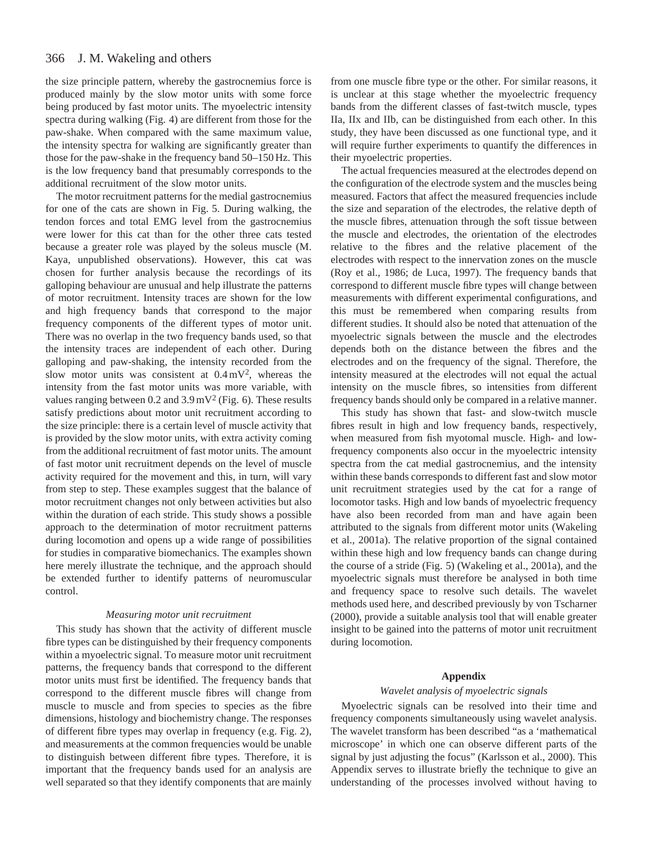the size principle pattern, whereby the gastrocnemius force is produced mainly by the slow motor units with some force being produced by fast motor units. The myoelectric intensity spectra during walking (Fig. 4) are different from those for the paw-shake. When compared with the same maximum value, the intensity spectra for walking are significantly greater than those for the paw-shake in the frequency band 50–150 Hz. This is the low frequency band that presumably corresponds to the additional recruitment of the slow motor units.

The motor recruitment patterns for the medial gastrocnemius for one of the cats are shown in Fig. 5. During walking, the tendon forces and total EMG level from the gastrocnemius were lower for this cat than for the other three cats tested because a greater role was played by the soleus muscle (M. Kaya, unpublished observations). However, this cat was chosen for further analysis because the recordings of its galloping behaviour are unusual and help illustrate the patterns of motor recruitment. Intensity traces are shown for the low and high frequency bands that correspond to the major frequency components of the different types of motor unit. There was no overlap in the two frequency bands used, so that the intensity traces are independent of each other. During galloping and paw-shaking, the intensity recorded from the slow motor units was consistent at  $0.4 \text{ mV}^2$ , whereas the intensity from the fast motor units was more variable, with values ranging between 0.2 and  $3.9 \text{ mV}^2$  (Fig. 6). These results satisfy predictions about motor unit recruitment according to the size principle: there is a certain level of muscle activity that is provided by the slow motor units, with extra activity coming from the additional recruitment of fast motor units. The amount of fast motor unit recruitment depends on the level of muscle activity required for the movement and this, in turn, will vary from step to step. These examples suggest that the balance of motor recruitment changes not only between activities but also within the duration of each stride. This study shows a possible approach to the determination of motor recruitment patterns during locomotion and opens up a wide range of possibilities for studies in comparative biomechanics. The examples shown here merely illustrate the technique, and the approach should be extended further to identify patterns of neuromuscular control.

## *Measuring motor unit recruitment*

This study has shown that the activity of different muscle fibre types can be distinguished by their frequency components within a myoelectric signal. To measure motor unit recruitment patterns, the frequency bands that correspond to the different motor units must first be identified. The frequency bands that correspond to the different muscle fibres will change from muscle to muscle and from species to species as the fibre dimensions, histology and biochemistry change. The responses of different fibre types may overlap in frequency (e.g. Fig. 2), and measurements at the common frequencies would be unable to distinguish between different fibre types. Therefore, it is important that the frequency bands used for an analysis are well separated so that they identify components that are mainly

from one muscle fibre type or the other. For similar reasons, it is unclear at this stage whether the myoelectric frequency bands from the different classes of fast-twitch muscle, types IIa, IIx and IIb, can be distinguished from each other. In this study, they have been discussed as one functional type, and it will require further experiments to quantify the differences in their myoelectric properties.

The actual frequencies measured at the electrodes depend on the configuration of the electrode system and the muscles being measured. Factors that affect the measured frequencies include the size and separation of the electrodes, the relative depth of the muscle fibres, attenuation through the soft tissue between the muscle and electrodes, the orientation of the electrodes relative to the fibres and the relative placement of the electrodes with respect to the innervation zones on the muscle (Roy et al., 1986; de Luca, 1997). The frequency bands that correspond to different muscle fibre types will change between measurements with different experimental configurations, and this must be remembered when comparing results from different studies. It should also be noted that attenuation of the myoelectric signals between the muscle and the electrodes depends both on the distance between the fibres and the electrodes and on the frequency of the signal. Therefore, the intensity measured at the electrodes will not equal the actual intensity on the muscle fibres, so intensities from different frequency bands should only be compared in a relative manner.

This study has shown that fast- and slow-twitch muscle fibres result in high and low frequency bands, respectively, when measured from fish myotomal muscle. High- and lowfrequency components also occur in the myoelectric intensity spectra from the cat medial gastrocnemius, and the intensity within these bands corresponds to different fast and slow motor unit recruitment strategies used by the cat for a range of locomotor tasks. High and low bands of myoelectric frequency have also been recorded from man and have again been attributed to the signals from different motor units (Wakeling et al., 2001a). The relative proportion of the signal contained within these high and low frequency bands can change during the course of a stride (Fig. 5) (Wakeling et al., 2001a), and the myoelectric signals must therefore be analysed in both time and frequency space to resolve such details. The wavelet methods used here, and described previously by von Tscharner (2000), provide a suitable analysis tool that will enable greater insight to be gained into the patterns of motor unit recruitment during locomotion.

## **Appendix**

## *Wavelet analysis of myoelectric signals*

Myoelectric signals can be resolved into their time and frequency components simultaneously using wavelet analysis. The wavelet transform has been described "as a 'mathematical microscope' in which one can observe different parts of the signal by just adjusting the focus" (Karlsson et al., 2000). This Appendix serves to illustrate briefly the technique to give an understanding of the processes involved without having to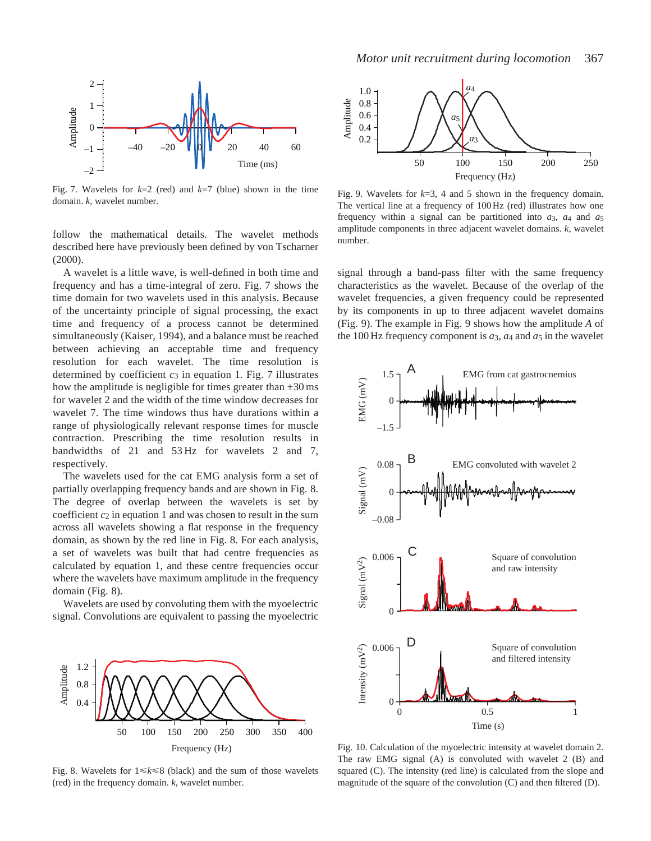

Fig. 7. Wavelets for  $k=2$  (red) and  $k=7$  (blue) shown in the time domain. *k*, wavelet number.

follow the mathematical details. The wavelet methods described here have previously been defined by von Tscharner (2000).

A wavelet is a little wave, is well-defined in both time and frequency and has a time-integral of zero. Fig. 7 shows the time domain for two wavelets used in this analysis. Because of the uncertainty principle of signal processing, the exact time and frequency of a process cannot be determined simultaneously (Kaiser, 1994), and a balance must be reached between achieving an acceptable time and frequency resolution for each wavelet. The time resolution is determined by coefficient  $c_3$  in equation 1. Fig. 7 illustrates how the amplitude is negligible for times greater than  $\pm 30$  ms for wavelet 2 and the width of the time window decreases for wavelet 7. The time windows thus have durations within a range of physiologically relevant response times for muscle contraction. Prescribing the time resolution results in bandwidths of 21 and 53 Hz for wavelets 2 and 7, respectively.

The wavelets used for the cat EMG analysis form a set of partially overlapping frequency bands and are shown in Fig. 8. The degree of overlap between the wavelets is set by coefficient  $c_2$  in equation 1 and was chosen to result in the sum across all wavelets showing a flat response in the frequency domain, as shown by the red line in Fig. 8. For each analysis, a set of wavelets was built that had centre frequencies as calculated by equation 1, and these centre frequencies occur where the wavelets have maximum amplitude in the frequency domain (Fig. 8).

Wavelets are used by convoluting them with the myoelectric signal. Convolutions are equivalent to passing the myoelectric



Fig. 8. Wavelets for  $1 \le k \le 8$  (black) and the sum of those wavelets (red) in the frequency domain. *k*, wavelet number.



Fig. 9. Wavelets for *k*=3, 4 and 5 shown in the frequency domain. The vertical line at a frequency of 100 Hz (red) illustrates how one frequency within a signal can be partitioned into  $a_3$ ,  $a_4$  and  $a_5$ amplitude components in three adjacent wavelet domains. *k*, wavelet number.

signal through a band-pass filter with the same frequency characteristics as the wavelet. Because of the overlap of the wavelet frequencies, a given frequency could be represented by its components in up to three adjacent wavelet domains (Fig. 9). The example in Fig. 9 shows how the amplitude *A* of the 100 Hz frequency component is  $a_3$ ,  $a_4$  and  $a_5$  in the wavelet



Fig. 10. Calculation of the myoelectric intensity at wavelet domain 2. The raw EMG signal (A) is convoluted with wavelet 2 (B) and squared (C). The intensity (red line) is calculated from the slope and magnitude of the square of the convolution (C) and then filtered (D).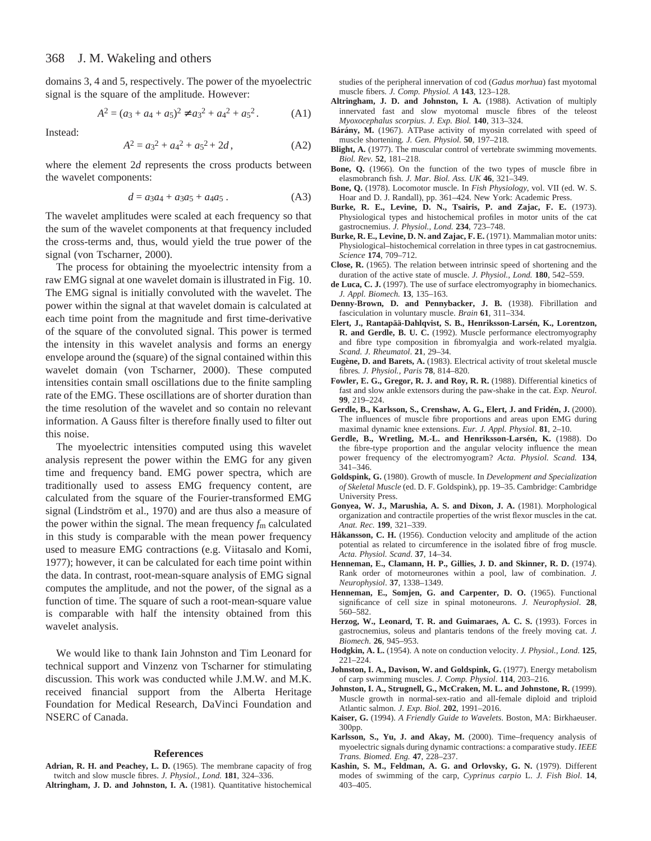domains 3, 4 and 5, respectively. The power of the myoelectric signal is the square of the amplitude. However:

$$
A2 = (a3 + a4 + a5)2 \neq a32 + a42 + a52.
$$
 (A1)

Instead:

$$
A^2 = a_3^2 + a_4^2 + a_5^2 + 2d, \tag{A2}
$$

where the element 2*d* represents the cross products between the wavelet components:

$$
d = a_3 a_4 + a_3 a_5 + a_4 a_5. \tag{A3}
$$

The wavelet amplitudes were scaled at each frequency so that the sum of the wavelet components at that frequency included the cross-terms and, thus, would yield the true power of the signal (von Tscharner, 2000).

The process for obtaining the myoelectric intensity from a raw EMG signal at one wavelet domain is illustrated in Fig. 10. The EMG signal is initially convoluted with the wavelet. The power within the signal at that wavelet domain is calculated at each time point from the magnitude and first time-derivative of the square of the convoluted signal. This power is termed the intensity in this wavelet analysis and forms an energy envelope around the (square) of the signal contained within this wavelet domain (von Tscharner, 2000). These computed intensities contain small oscillations due to the finite sampling rate of the EMG. These oscillations are of shorter duration than the time resolution of the wavelet and so contain no relevant information. A Gauss filter is therefore finally used to filter out this noise.

The myoelectric intensities computed using this wavelet analysis represent the power within the EMG for any given time and frequency band. EMG power spectra, which are traditionally used to assess EMG frequency content, are calculated from the square of the Fourier-transformed EMG signal (Lindström et al., 1970) and are thus also a measure of the power within the signal. The mean frequency *f*m calculated in this study is comparable with the mean power frequency used to measure EMG contractions (e.g. Viitasalo and Komi, 1977); however, it can be calculated for each time point within the data. In contrast, root-mean-square analysis of EMG signal computes the amplitude, and not the power, of the signal as a function of time. The square of such a root-mean-square value is comparable with half the intensity obtained from this wavelet analysis.

We would like to thank Iain Johnston and Tim Leonard for technical support and Vinzenz von Tscharner for stimulating discussion. This work was conducted while J.M.W. and M.K. received financial support from the Alberta Heritage Foundation for Medical Research, DaVinci Foundation and NSERC of Canada.

#### **References**

- **Adrian, R. H. and Peachey, L. D.** (1965). The membrane capacity of frog twitch and slow muscle fibres. *J. Physiol., Lond.* **181**, 324–336.
- **Altringham, J. D. and Johnston, I. A.** (1981). Quantitative histochemical

studies of the peripheral innervation of cod (*Gadus morhua*) fast myotomal muscle fibers*. J. Comp. Physiol. A* **143**, 123–128.

- **Altringham, J. D. and Johnston, I. A.** (1988). Activation of multiply innervated fast and slow myotomal muscle fibres of the teleost *Myoxocephalus scorpius*. *J. Exp. Biol.* **140**, 313–324.
- **Bárány, M.** (1967). ATPase activity of myosin correlated with speed of muscle shortening*. J. Gen. Physiol.* **50**, 197–218.
- **Blight, A.** (1977). The muscular control of vertebrate swimming movements. *Biol. Rev.* **52**, 181–218.
- **Bone, Q.** (1966). On the function of the two types of muscle fibre in elasmobranch fish*. J. Mar. Biol. Ass. UK* **46**, 321–349.
- **Bone, Q.** (1978). Locomotor muscle. In *Fish Physiology*, vol. VII (ed. W. S. Hoar and D. J. Randall), pp. 361–424. New York: Academic Press.
- **Burke, R. E., Levine, D. N., Tsairis, P. and Zajac, F. E.** (1973). Physiological types and histochemical profiles in motor units of the cat gastrocnemius. *J. Physiol., Lond.* **234**, 723–748.
- **Burke, R. E., Levine, D. N. and Zajac, F. E.** (1971). Mammalian motor units: Physiological–histochemical correlation in three types in cat gastrocnemius. *Science* **174**, 709–712.
- **Close, R.** (1965). The relation between intrinsic speed of shortening and the duration of the active state of muscle. *J. Physiol., Lond.* **180**, 542–559.
- **de Luca, C. J.** (1997). The use of surface electromyography in biomechanics. *J. Appl. Biomech.* **13**, 135–163.
- **Denny-Brown, D. and Pennybacker, J. B.** (1938). Fibrillation and fasciculation in voluntary muscle. *Brain* **61**, 311–334.
- **Elert, J., Rantapää-Dahlqvist, S. B., Henriksson-Larsén, K., Lorentzon, R. and Gerdle, B. U. C.** (1992). Muscle performance electromyography and fibre type composition in fibromyalgia and work-related myalgia. *Scand. J. Rheumatol*. **21**, 29–34.
- **Eugène, D. and Barets, A.** (1983). Electrical activity of trout skeletal muscle fibres*. J. Physiol., Paris* **78**, 814–820.
- **Fowler, E. G., Gregor, R. J. and Roy, R. R.** (1988). Differential kinetics of fast and slow ankle extensors during the paw-shake in the cat. *Exp. Neurol*. **99**, 219–224.
- **Gerdle, B., Karlsson, S., Crenshaw, A. G., Elert, J. and Fridén, J.** (2000). The influences of muscle fibre proportions and areas upon EMG during maximal dynamic knee extensions. *Eur. J. Appl. Physiol*. **81**, 2–10.
- **Gerdle, B., Wretling, M.-L. and Henriksson-Larsén, K.** (1988). Do the fibre-type proportion and the angular velocity influence the mean power frequency of the electromyogram? *Acta. Physiol. Scand.* **134**, 341–346.
- **Goldspink, G.** (1980). Growth of muscle. In *Development and Specialization of Skeletal Muscle* (ed. D. F. Goldspink), pp. 19–35. Cambridge: Cambridge University Press.
- **Gonyea, W. J., Marushia, A. S. and Dixon, J. A.** (1981). Morphological organization and contractile properties of the wrist flexor muscles in the cat. *Anat. Rec.* **199**, 321–339.
- **Håkansson, C. H.** (1956). Conduction velocity and amplitude of the action potential as related to circumference in the isolated fibre of frog muscle. *Acta. Physiol. Scand*. **37**, 14–34.
- **Henneman, E., Clamann, H. P., Gillies, J. D. and Skinner, R. D.** (1974). Rank order of motorneurones within a pool, law of combination. *J. Neurophysiol*. **37**, 1338–1349.
- **Henneman, E., Somjen, G. and Carpenter, D. O.** (1965). Functional significance of cell size in spinal motoneurons. *J. Neurophysiol*. **28**, 560–582.
- **Herzog, W., Leonard, T. R. and Guimaraes, A. C. S.** (1993). Forces in gastrocnemius, soleus and plantaris tendons of the freely moving cat. *J. Biomech*. **26**, 945–953.
- **Hodgkin, A. L.** (1954). A note on conduction velocity. *J. Physiol., Lond.* **125**, 221–224.
- **Johnston, I. A., Davison, W. and Goldspink, G.** (1977). Energy metabolism of carp swimming muscles. *J. Comp. Physiol*. **114**, 203–216.
- **Johnston, I. A., Strugnell, G., McCraken, M. L. and Johnstone, R.** (1999). Muscle growth in normal-sex-ratio and all-female diploid and triploid Atlantic salmon. *J. Exp. Biol.* **202**, 1991–2016.
- **Kaiser, G.** (1994). *A Friendly Guide to Wavelets*. Boston, MA: Birkhaeuser. 300pp.
- **Karlsson, S., Yu, J. and Akay, M.** (2000). Time–frequency analysis of myoelectric signals during dynamic contractions: a comparative study. *IEEE Trans. Biomed. Eng.* **47**, 228–237.
- **Kashin, S. M., Feldman, A. G. and Orlovsky, G. N.** (1979). Different modes of swimming of the carp, *Cyprinus carpio* L. *J. Fish Biol*. **14**, 403–405.